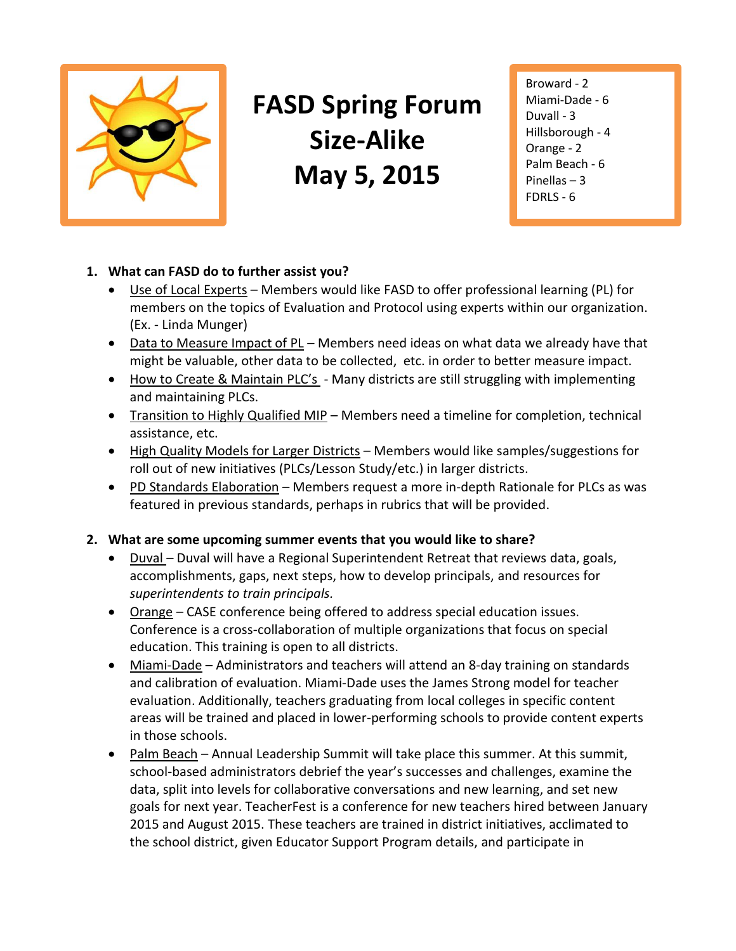

# **FASD Spring Forum Size-Alike May 5, 2015**

Broward - 2 Miami-Dade - 6 Duvall - 3 Hillsborough - 4 Orange - 2 Palm Beach - 6 Pinellas – 3 FDRLS - 6

## **1. What can FASD do to further assist you?**

- Use of Local Experts Members would like FASD to offer professional learning (PL) for members on the topics of Evaluation and Protocol using experts within our organization. (Ex. - Linda Munger)
- Data to Measure Impact of PL Members need ideas on what data we already have that might be valuable, other data to be collected, etc. in order to better measure impact.
- How to Create & Maintain PLC's Many districts are still struggling with implementing and maintaining PLCs.
- Transition to Highly Qualified MIP Members need a timeline for completion, technical assistance, etc.
- High Quality Models for Larger Districts Members would like samples/suggestions for roll out of new initiatives (PLCs/Lesson Study/etc.) in larger districts.
- PD Standards Elaboration Members request a more in-depth Rationale for PLCs as was featured in previous standards, perhaps in rubrics that will be provided.

## **2. What are some upcoming summer events that you would like to share?**

- Duval Duval will have a Regional Superintendent Retreat that reviews data, goals, accomplishments, gaps, next steps, how to develop principals, and resources for *superintendents to train principals.*
- Orange CASE conference being offered to address special education issues. Conference is a cross-collaboration of multiple organizations that focus on special education. This training is open to all districts.
- Miami-Dade Administrators and teachers will attend an 8-day training on standards and calibration of evaluation. Miami-Dade uses the James Strong model for teacher evaluation. Additionally, teachers graduating from local colleges in specific content areas will be trained and placed in lower-performing schools to provide content experts in those schools.
- Palm Beach Annual Leadership Summit will take place this summer. At this summit, school-based administrators debrief the year's successes and challenges, examine the data, split into levels for collaborative conversations and new learning, and set new goals for next year. TeacherFest is a conference for new teachers hired between January 2015 and August 2015. These teachers are trained in district initiatives, acclimated to the school district, given Educator Support Program details, and participate in